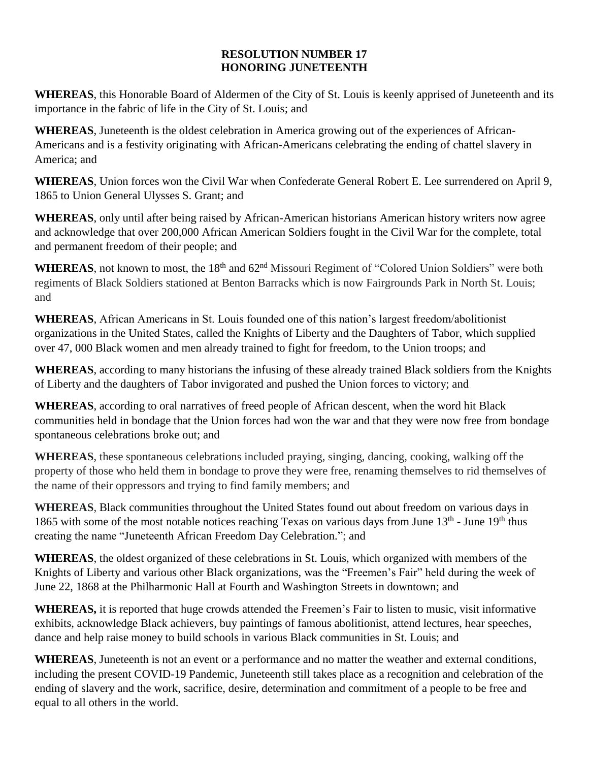## **RESOLUTION NUMBER 17 HONORING JUNETEENTH**

**WHEREAS**, this Honorable Board of Aldermen of the City of St. Louis is keenly apprised of Juneteenth and its importance in the fabric of life in the City of St. Louis; and

**WHEREAS**, Juneteenth is the oldest celebration in America growing out of the experiences of African-Americans and is a festivity originating with African-Americans celebrating the ending of chattel slavery in America; and

**WHEREAS**, Union forces won the Civil War when Confederate General Robert E. Lee surrendered on April 9, 1865 to Union General Ulysses S. Grant; and

**WHEREAS**, only until after being raised by African-American historians American history writers now agree and acknowledge that over 200,000 African American Soldiers fought in the Civil War for the complete, total and permanent freedom of their people; and

WHEREAS, not known to most, the 18<sup>th</sup> and 62<sup>nd</sup> Missouri Regiment of "Colored Union Soldiers" were both regiments of Black Soldiers stationed at Benton Barracks which is now Fairgrounds Park in North St. Louis; and

**WHEREAS**, African Americans in St. Louis founded one of this nation's largest freedom/abolitionist organizations in the United States, called the Knights of Liberty and the Daughters of Tabor, which supplied over 47, 000 Black women and men already trained to fight for freedom, to the Union troops; and

**WHEREAS**, according to many historians the infusing of these already trained Black soldiers from the Knights of Liberty and the daughters of Tabor invigorated and pushed the Union forces to victory; and

**WHEREAS**, according to oral narratives of freed people of African descent, when the word hit Black communities held in bondage that the Union forces had won the war and that they were now free from bondage spontaneous celebrations broke out; and

**WHEREAS**, these spontaneous celebrations included praying, singing, dancing, cooking, walking off the property of those who held them in bondage to prove they were free, renaming themselves to rid themselves of the name of their oppressors and trying to find family members; and

**WHEREAS**, Black communities throughout the United States found out about freedom on various days in 1865 with some of the most notable notices reaching Texas on various days from June  $13<sup>th</sup>$  - June  $19<sup>th</sup>$  thus creating the name "Juneteenth African Freedom Day Celebration."; and

**WHEREAS**, the oldest organized of these celebrations in St. Louis, which organized with members of the Knights of Liberty and various other Black organizations, was the "Freemen's Fair" held during the week of June 22, 1868 at the Philharmonic Hall at Fourth and Washington Streets in downtown; and

**WHEREAS,** it is reported that huge crowds attended the Freemen's Fair to listen to music, visit informative exhibits, acknowledge Black achievers, buy paintings of famous abolitionist, attend lectures, hear speeches, dance and help raise money to build schools in various Black communities in St. Louis; and

**WHEREAS**, Juneteenth is not an event or a performance and no matter the weather and external conditions, including the present COVID-19 Pandemic, Juneteenth still takes place as a recognition and celebration of the ending of slavery and the work, sacrifice, desire, determination and commitment of a people to be free and equal to all others in the world.